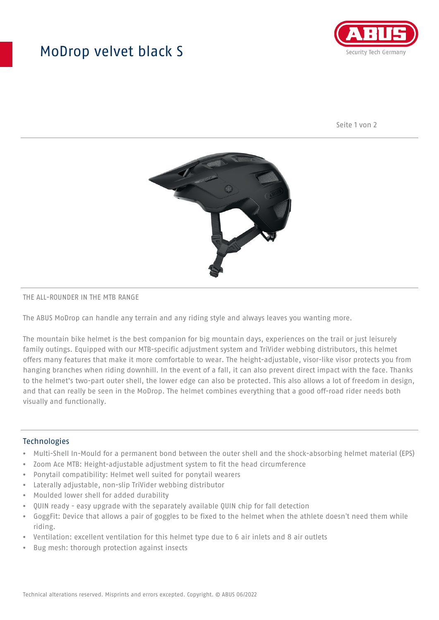## MoDrop velvet black S



Seite 1 von 2



#### THE ALL-ROUNDER IN THE MTB RANGE

The ABUS MoDrop can handle any terrain and any riding style and always leaves you wanting more.

The mountain bike helmet is the best companion for big mountain days, experiences on the trail or just leisurely family outings. Equipped with our MTB-specific adjustment system and TriVider webbing distributors, this helmet offers many features that make it more comfortable to wear. The height-adjustable, visor-like visor protects you from hanging branches when riding downhill. In the event of a fall, it can also prevent direct impact with the face. Thanks to the helmet's two-part outer shell, the lower edge can also be protected. This also allows a lot of freedom in design, and that can really be seen in the MoDrop. The helmet combines everything that a good off-road rider needs both visually and functionally.

#### Technologies

- Multi-Shell In-Mould for a permanent bond between the outer shell and the shock-absorbing helmet material (EPS)
- Zoom Ace MTB: Height-adjustable adjustment system to fit the head circumference
- Ponytail compatibility: Helmet well suited for ponytail wearers
- Laterally adjustable, non-slip TriVider webbing distributor
- Moulded lower shell for added durability
- QUIN ready easy upgrade with the separately available QUIN chip for fall detection
- GoggFit: Device that allows a pair of goggles to be fixed to the helmet when the athlete doesn't need them while riding.
- Ventilation: excellent ventilation for this helmet type due to 6 air inlets and 8 air outlets
- Bug mesh: thorough protection against insects